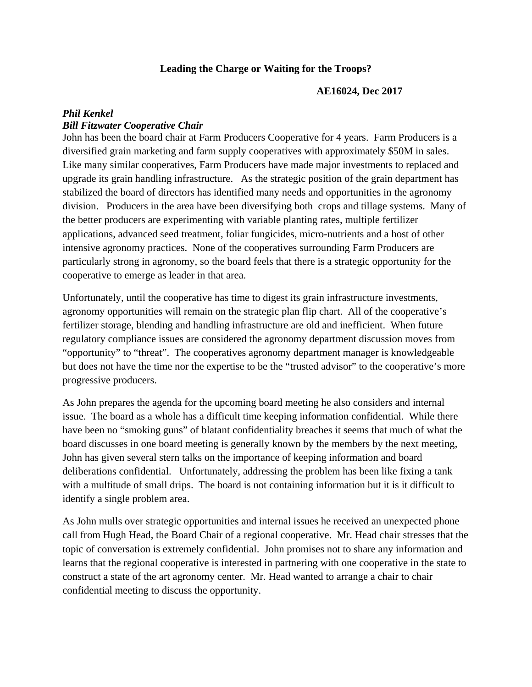## **Leading the Charge or Waiting for the Troops?**

#### **AE16024, Dec 2017**

# *Phil Kenkel Bill Fitzwater Cooperative Chair*

John has been the board chair at Farm Producers Cooperative for 4 years. Farm Producers is a diversified grain marketing and farm supply cooperatives with approximately \$50M in sales. Like many similar cooperatives, Farm Producers have made major investments to replaced and upgrade its grain handling infrastructure. As the strategic position of the grain department has stabilized the board of directors has identified many needs and opportunities in the agronomy division. Producers in the area have been diversifying both crops and tillage systems. Many of the better producers are experimenting with variable planting rates, multiple fertilizer applications, advanced seed treatment, foliar fungicides, micro-nutrients and a host of other intensive agronomy practices. None of the cooperatives surrounding Farm Producers are particularly strong in agronomy, so the board feels that there is a strategic opportunity for the cooperative to emerge as leader in that area.

Unfortunately, until the cooperative has time to digest its grain infrastructure investments, agronomy opportunities will remain on the strategic plan flip chart. All of the cooperative's fertilizer storage, blending and handling infrastructure are old and inefficient. When future regulatory compliance issues are considered the agronomy department discussion moves from "opportunity" to "threat". The cooperatives agronomy department manager is knowledgeable but does not have the time nor the expertise to be the "trusted advisor" to the cooperative's more progressive producers.

As John prepares the agenda for the upcoming board meeting he also considers and internal issue. The board as a whole has a difficult time keeping information confidential. While there have been no "smoking guns" of blatant confidentiality breaches it seems that much of what the board discusses in one board meeting is generally known by the members by the next meeting, John has given several stern talks on the importance of keeping information and board deliberations confidential. Unfortunately, addressing the problem has been like fixing a tank with a multitude of small drips. The board is not containing information but it is it difficult to identify a single problem area.

As John mulls over strategic opportunities and internal issues he received an unexpected phone call from Hugh Head, the Board Chair of a regional cooperative. Mr. Head chair stresses that the topic of conversation is extremely confidential. John promises not to share any information and learns that the regional cooperative is interested in partnering with one cooperative in the state to construct a state of the art agronomy center. Mr. Head wanted to arrange a chair to chair confidential meeting to discuss the opportunity.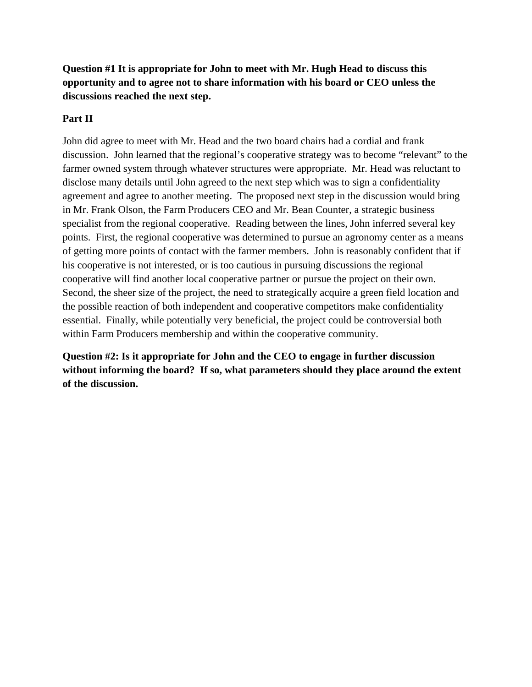**Question #1 It is appropriate for John to meet with Mr. Hugh Head to discuss this opportunity and to agree not to share information with his board or CEO unless the discussions reached the next step.** 

## **Part II**

John did agree to meet with Mr. Head and the two board chairs had a cordial and frank discussion. John learned that the regional's cooperative strategy was to become "relevant" to the farmer owned system through whatever structures were appropriate. Mr. Head was reluctant to disclose many details until John agreed to the next step which was to sign a confidentiality agreement and agree to another meeting. The proposed next step in the discussion would bring in Mr. Frank Olson, the Farm Producers CEO and Mr. Bean Counter, a strategic business specialist from the regional cooperative. Reading between the lines, John inferred several key points. First, the regional cooperative was determined to pursue an agronomy center as a means of getting more points of contact with the farmer members. John is reasonably confident that if his cooperative is not interested, or is too cautious in pursuing discussions the regional cooperative will find another local cooperative partner or pursue the project on their own. Second, the sheer size of the project, the need to strategically acquire a green field location and the possible reaction of both independent and cooperative competitors make confidentiality essential. Finally, while potentially very beneficial, the project could be controversial both within Farm Producers membership and within the cooperative community.

**Question #2: Is it appropriate for John and the CEO to engage in further discussion without informing the board? If so, what parameters should they place around the extent of the discussion.**